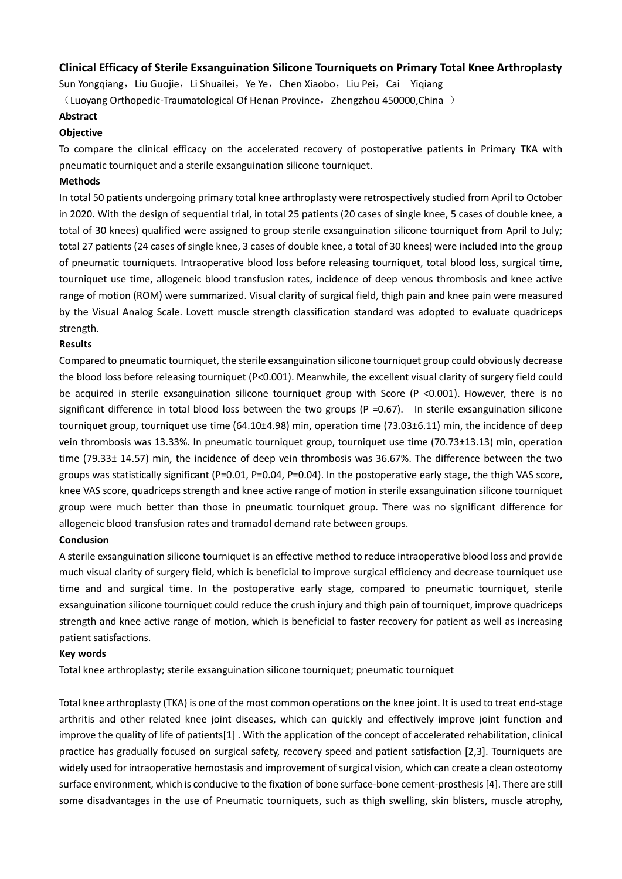## **Clinical Efficacy of Sterile Exsanguination Silicone Tourniquets on Primary Total Knee Arthroplasty**

Sun Yongqiang, Liu Guojie, Li Shuailei, Ye Ye, Chen Xiaobo, Liu Pei, Cai Yiqiang

(Luoyang Orthopedic-Traumatological Of Henan Province, Zhengzhou 450000,China)

### **Abstract**

## **Objective**

To compare the clinical efficacy on the accelerated recovery of postoperative patients in Primary TKA with pneumatic tourniquet and a sterile exsanguination silicone tourniquet.

### **Methods**

In total 50 patients undergoing primary total knee arthroplasty were retrospectively studied from April to October in 2020. With the design of sequential trial, in total 25 patients (20 cases of single knee, 5 cases of double knee, a total of 30 knees) qualified were assigned to group sterile exsanguination silicone tourniquet from April to July; total 27 patients (24 cases of single knee, 3 cases of double knee, a total of 30 knees) were included into the group of pneumatic tourniquets. Intraoperative blood loss before releasing tourniquet, total blood loss, surgical time, tourniquet use time, allogeneic blood transfusion rates, incidence of deep venous thrombosis and knee active range of motion (ROM) were summarized. Visual clarity of surgical field, thigh pain and knee pain were measured by the Visual Analog Scale. Lovett muscle strength classification standard was adopted to evaluate quadriceps strength.

### **Results**

Compared to pneumatic tourniquet, the sterile exsanguination silicone tourniquet group could obviously decrease the blood loss before releasing tourniquet (P<0.001). Meanwhile, the excellent visual clarity of surgery field could be acquired in sterile exsanguination silicone tourniquet group with Score (P <0.001). However, there is no significant difference in total blood loss between the two groups ( $P = 0.67$ ). In sterile exsanguination silicone tourniquet group, tourniquet use time (64.10±4.98) min, operation time (73.03±6.11) min, the incidence of deep vein thrombosis was 13.33%. In pneumatic tourniquet group, tourniquet use time (70.73±13.13) min, operation time (79.33± 14.57) min, the incidence of deep vein thrombosis was 36.67%. The difference between the two groups was statistically significant (P=0.01, P=0.04, P=0.04). In the postoperative early stage, the thigh VAS score, knee VAS score, quadriceps strength and knee active range of motion in sterile exsanguination silicone tourniquet group were much better than those in pneumatic tourniquet group. There was no significant difference for allogeneic blood transfusion rates and tramadol demand rate between groups.

### **Conclusion**

A sterile exsanguination silicone tourniquet is an effective method to reduce intraoperative blood loss and provide much visual clarity of surgery field, which is beneficial to improve surgical efficiency and decrease tourniquet use time and and surgical time. In the postoperative early stage, compared to pneumatic tourniquet, sterile exsanguination silicone tourniquet could reduce the crush injury and thigh pain of tourniquet, improve quadriceps strength and knee active range of motion, which is beneficial to faster recovery for patient as well as increasing patient satisfactions.

### **Key words**

Total knee arthroplasty; sterile exsanguination silicone tourniquet; pneumatic tourniquet

Total knee arthroplasty (TKA) is one of the most common operations on the knee joint. It is used to treat end-stage arthritis and other related knee joint diseases, which can quickly and effectively improve joint function and improve the quality of life of patients[1] . With the application of the concept of accelerated rehabilitation, clinical practice has gradually focused on surgical safety, recovery speed and patient satisfaction [2,3]. Tourniquets are widely used for intraoperative hemostasis and improvement of surgical vision, which can create a clean osteotomy surface environment, which is conducive to the fixation of bone surface-bone cement-prosthesis [4]. There are still some disadvantages in the use of Pneumatic tourniquets, such as thigh swelling, skin blisters, muscle atrophy,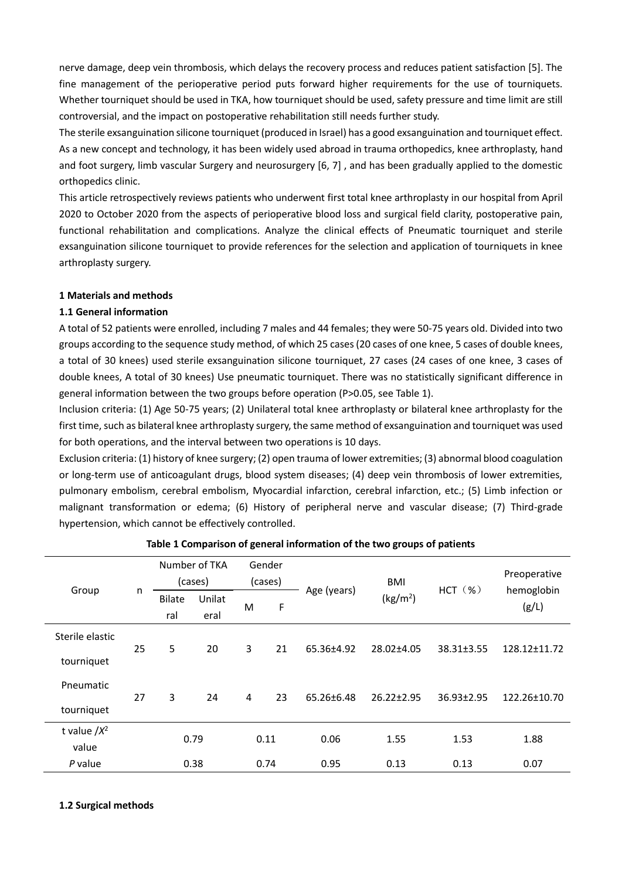nerve damage, deep vein thrombosis, which delays the recovery process and reduces patient satisfaction [5]. The fine management of the perioperative period puts forward higher requirements for the use of tourniquets. Whether tourniquet should be used in TKA, how tourniquet should be used, safety pressure and time limit are still controversial, and the impact on postoperative rehabilitation still needs further study.

The sterile exsanguination silicone tourniquet (produced in Israel) has a good exsanguination and tourniquet effect. As a new concept and technology, it has been widely used abroad in trauma orthopedics, knee arthroplasty, hand and foot surgery, limb vascular Surgery and neurosurgery [6, 7] , and has been gradually applied to the domestic orthopedics clinic.

This article retrospectively reviews patients who underwent first total knee arthroplasty in our hospital from April 2020 to October 2020 from the aspects of perioperative blood loss and surgical field clarity, postoperative pain, functional rehabilitation and complications. Analyze the clinical effects of Pneumatic tourniquet and sterile exsanguination silicone tourniquet to provide references for the selection and application of tourniquets in knee arthroplasty surgery.

## **1 Materials and methods**

## **1.1 General information**

A total of 52 patients were enrolled, including 7 males and 44 females; they were 50-75 years old. Divided into two groups according to the sequence study method, of which 25 cases (20 cases of one knee, 5 cases of double knees, a total of 30 knees) used sterile exsanguination silicone tourniquet, 27 cases (24 cases of one knee, 3 cases of double knees, A total of 30 knees) Use pneumatic tourniquet. There was no statistically significant difference in general information between the two groups before operation (P>0.05, see Table 1).

Inclusion criteria: (1) Age 50-75 years; (2) Unilateral total knee arthroplasty or bilateral knee arthroplasty for the first time, such as bilateral knee arthroplasty surgery, the same method of exsanguination and tourniquet was used for both operations, and the interval between two operations is 10 days.

Exclusion criteria: (1) history of knee surgery; (2) open trauma of lower extremities; (3) abnormal blood coagulation or long-term use of anticoagulant drugs, blood system diseases; (4) deep vein thrombosis of lower extremities, pulmonary embolism, cerebral embolism, Myocardial infarction, cerebral infarction, etc.; (5) Limb infection or malignant transformation or edema; (6) History of peripheral nerve and vascular disease; (7) Third-grade hypertension, which cannot be effectively controlled.

|                 |    | Number of TKA<br>(cases) |                | Gender<br>(cases) |      |             | BMI                  |                  | Preoperative        |  |
|-----------------|----|--------------------------|----------------|-------------------|------|-------------|----------------------|------------------|---------------------|--|
| Group           | n  | <b>Bilate</b><br>ral     | Unilat<br>eral | M                 | F    | Age (years) | (kg/m <sup>2</sup> ) | $HCT$ $(\%)$     | hemoglobin<br>(g/L) |  |
| Sterile elastic |    |                          |                |                   | 21   | 65.36±4.92  | 28.02±4.05           |                  |                     |  |
| tourniquet      | 25 | 5                        | 20             | 3                 |      |             |                      | 38.31±3.55       | 128.12±11.72        |  |
| Pneumatic       | 27 | 3                        | 24             | $\overline{4}$    | 23   | 65.26±6.48  | 26.22±2.95           | $36.93 \pm 2.95$ | 122.26±10.70        |  |
| tourniquet      |    |                          |                |                   |      |             |                      |                  |                     |  |
| t value $/X^2$  |    |                          | 0.79           |                   | 0.11 | 0.06        | 1.55                 | 1.53             | 1.88                |  |
| value           |    |                          |                |                   |      |             |                      |                  |                     |  |
| P value         |    |                          | 0.38           |                   | 0.74 | 0.95        | 0.13                 | 0.13             | 0.07                |  |

## **Table 1 Comparison of general information of the two groups of patients**

## **1.2 Surgical methods**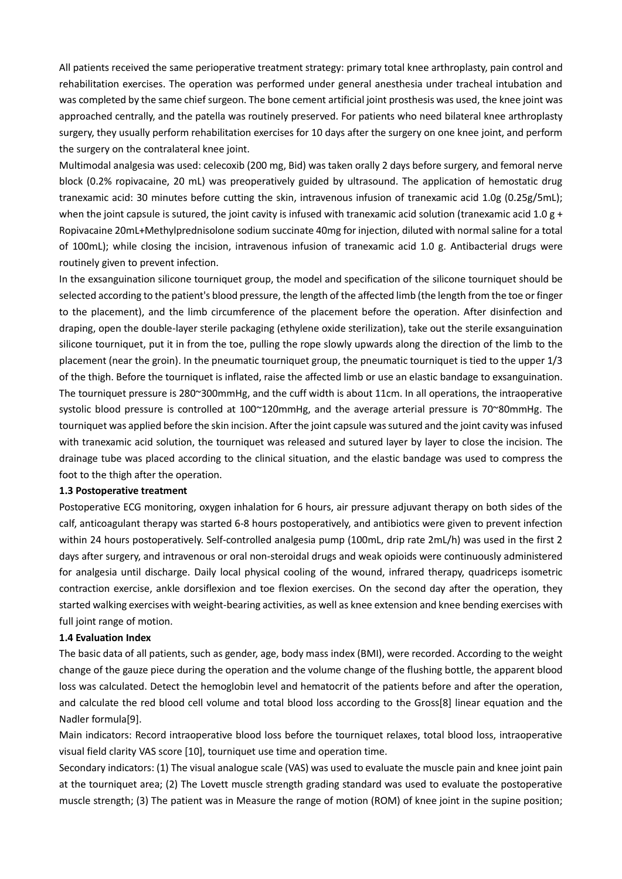All patients received the same perioperative treatment strategy: primary total knee arthroplasty, pain control and rehabilitation exercises. The operation was performed under general anesthesia under tracheal intubation and was completed by the same chief surgeon. The bone cement artificial joint prosthesis was used, the knee joint was approached centrally, and the patella was routinely preserved. For patients who need bilateral knee arthroplasty surgery, they usually perform rehabilitation exercises for 10 days after the surgery on one knee joint, and perform the surgery on the contralateral knee joint.

Multimodal analgesia was used: celecoxib (200 mg, Bid) was taken orally 2 days before surgery, and femoral nerve block (0.2% ropivacaine, 20 mL) was preoperatively guided by ultrasound. The application of hemostatic drug tranexamic acid: 30 minutes before cutting the skin, intravenous infusion of tranexamic acid 1.0g (0.25g/5mL); when the joint capsule is sutured, the joint cavity is infused with tranexamic acid solution (tranexamic acid 1.0 g + Ropivacaine 20mL+Methylprednisolone sodium succinate 40mg for injection, diluted with normal saline for a total of 100mL); while closing the incision, intravenous infusion of tranexamic acid 1.0 g. Antibacterial drugs were routinely given to prevent infection.

In the exsanguination silicone tourniquet group, the model and specification of the silicone tourniquet should be selected according to the patient's blood pressure, the length of the affected limb (the length from the toe or finger to the placement), and the limb circumference of the placement before the operation. After disinfection and draping, open the double-layer sterile packaging (ethylene oxide sterilization), take out the sterile exsanguination silicone tourniquet, put it in from the toe, pulling the rope slowly upwards along the direction of the limb to the placement (near the groin). In the pneumatic tourniquet group, the pneumatic tourniquet is tied to the upper 1/3 of the thigh. Before the tourniquet is inflated, raise the affected limb or use an elastic bandage to exsanguination. The tourniquet pressure is 280~300mmHg, and the cuff width is about 11cm. In all operations, the intraoperative systolic blood pressure is controlled at 100~120mmHg, and the average arterial pressure is 70~80mmHg. The tourniquet was applied before the skin incision. After the joint capsule was sutured and the joint cavity was infused with tranexamic acid solution, the tourniquet was released and sutured layer by layer to close the incision. The drainage tube was placed according to the clinical situation, and the elastic bandage was used to compress the foot to the thigh after the operation.

#### **1.3 Postoperative treatment**

Postoperative ECG monitoring, oxygen inhalation for 6 hours, air pressure adjuvant therapy on both sides of the calf, anticoagulant therapy was started 6-8 hours postoperatively, and antibiotics were given to prevent infection within 24 hours postoperatively. Self-controlled analgesia pump (100mL, drip rate 2mL/h) was used in the first 2 days after surgery, and intravenous or oral non-steroidal drugs and weak opioids were continuously administered for analgesia until discharge. Daily local physical cooling of the wound, infrared therapy, quadriceps isometric contraction exercise, ankle dorsiflexion and toe flexion exercises. On the second day after the operation, they started walking exercises with weight-bearing activities, as well as knee extension and knee bending exercises with full joint range of motion.

## **1.4 Evaluation Index**

The basic data of all patients, such as gender, age, body mass index (BMI), were recorded. According to the weight change of the gauze piece during the operation and the volume change of the flushing bottle, the apparent blood loss was calculated. Detect the hemoglobin level and hematocrit of the patients before and after the operation, and calculate the red blood cell volume and total blood loss according to the Gross[8] linear equation and the Nadler formula[9].

Main indicators: Record intraoperative blood loss before the tourniquet relaxes, total blood loss, intraoperative visual field clarity VAS score [10], tourniquet use time and operation time.

Secondary indicators: (1) The visual analogue scale (VAS) was used to evaluate the muscle pain and knee joint pain at the tourniquet area; (2) The Lovett muscle strength grading standard was used to evaluate the postoperative muscle strength; (3) The patient was in Measure the range of motion (ROM) of knee joint in the supine position;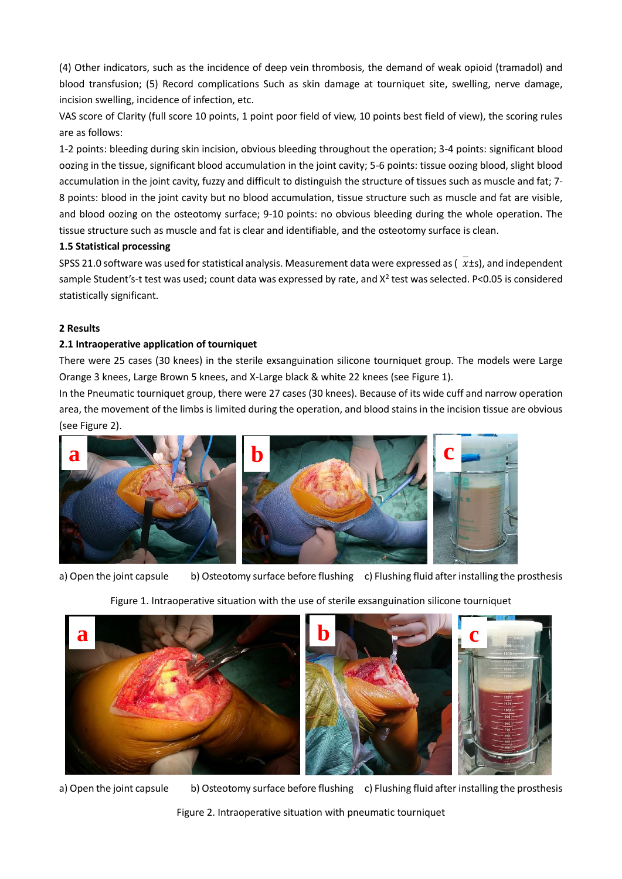(4) Other indicators, such as the incidence of deep vein thrombosis, the demand of weak opioid (tramadol) and blood transfusion; (5) Record complications Such as skin damage at tourniquet site, swelling, nerve damage, incision swelling, incidence of infection, etc.

VAS score of Clarity (full score 10 points, 1 point poor field of view, 10 points best field of view), the scoring rules are as follows:

1-2 points: bleeding during skin incision, obvious bleeding throughout the operation; 3-4 points: significant blood oozing in the tissue, significant blood accumulation in the joint cavity; 5-6 points: tissue oozing blood, slight blood accumulation in the joint cavity, fuzzy and difficult to distinguish the structure of tissues such as muscle and fat; 7- 8 points: blood in the joint cavity but no blood accumulation, tissue structure such as muscle and fat are visible, and blood oozing on the osteotomy surface; 9-10 points: no obvious bleeding during the whole operation. The tissue structure such as muscle and fat is clear and identifiable, and the osteotomy surface is clean.

## **1.5 Statistical processing**

SPSS 21.0 software was used for statistical analysis. Measurement data were expressed as ( $x$ ±s), and independent sample Student's-t test was used; count data was expressed by rate, and  $X^2$  test was selected. P<0.05 is considered statistically significant.

# **2 Results**

## **2.1 Intraoperative application of tourniquet**

There were 25 cases (30 knees) in the sterile exsanguination silicone tourniquet group. The models were Large Orange 3 knees, Large Brown 5 knees, and X-Large black & white 22 knees (see Figure 1).

In the Pneumatic tourniquet group, there were 27 cases (30 knees). Because of its wide cuff and narrow operation area, the movement of the limbs is limited during the operation, and blood stains in the incision tissue are obvious (see Figure 2).



a) Open the joint capsule b) Osteotomy surface before flushing c) Flushing fluid after installing the prosthesis

# Figure 1. Intraoperative situation with the use of sterile exsanguination silicone tourniquet



a) Open the joint capsule b) Osteotomy surface before flushing c) Flushing fluid after installing the prosthesis

Figure 2. Intraoperative situation with pneumatic tourniquet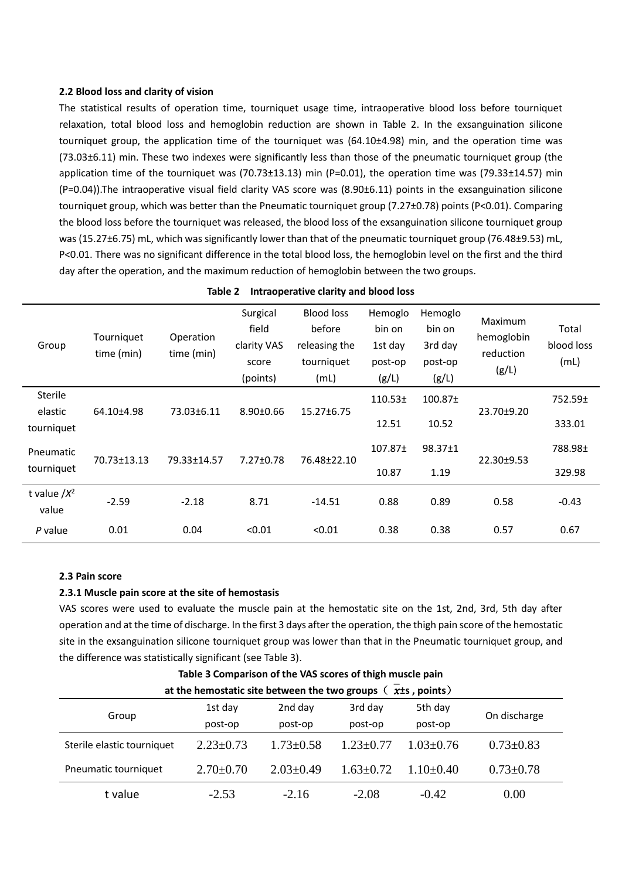### **2.2 Blood loss and clarity of vision**

The statistical results of operation time, tourniquet usage time, intraoperative blood loss before tourniquet relaxation, total blood loss and hemoglobin reduction are shown in Table 2. In the exsanguination silicone tourniquet group, the application time of the tourniquet was (64.10±4.98) min, and the operation time was (73.03±6.11) min. These two indexes were significantly less than those of the pneumatic tourniquet group (the application time of the tourniquet was (70.73±13.13) min (P=0.01), the operation time was (79.33±14.57) min (P=0.04)).The intraoperative visual field clarity VAS score was (8.90±6.11) points in the exsanguination silicone tourniquet group, which was better than the Pneumatic tourniquet group (7.27±0.78) points (P<0.01). Comparing the blood loss before the tourniquet was released, the blood loss of the exsanguination silicone tourniquet group was (15.27±6.75) mL, which was significantly lower than that of the pneumatic tourniquet group (76.48±9.53) mL, P<0.01. There was no significant difference in the total blood loss, the hemoglobin level on the first and the third day after the operation, and the maximum reduction of hemoglobin between the two groups.

| Group                            | Tourniquet<br>time (min) | Operation<br>time (min) | Surgical<br>field<br>clarity VAS<br>score<br>(points) | <b>Blood loss</b><br>before<br>releasing the<br>tourniquet<br>(mL) | Hemoglo<br>bin on<br>1st day<br>post-op<br>(g/L) | Hemoglo<br>bin on<br>3rd day<br>post-op<br>(g/L) | Maximum<br>hemoglobin<br>reduction<br>(g/L) | Total<br>blood loss<br>(mL) |
|----------------------------------|--------------------------|-------------------------|-------------------------------------------------------|--------------------------------------------------------------------|--------------------------------------------------|--------------------------------------------------|---------------------------------------------|-----------------------------|
| Sterile<br>elastic<br>tourniquet | 64.10±4.98               | 73.03±6.11              | $8.90 \pm 0.66$                                       | 15.27±6.75                                                         | 110.53 <sub>±</sub><br>12.51                     | 100.87 <sub>±</sub><br>10.52                     | 23.70±9.20                                  | 752.59±<br>333.01           |
| Pneumatic<br>tourniquet          | 70.73±13.13              | 79.33±14.57             | $7.27 \pm 0.78$                                       | 76.48±22.10                                                        | 107.87 <sup>±</sup><br>10.87                     | 98.37±1<br>1.19                                  | 22.30±9.53                                  | 788.98±<br>329.98           |
| t value $/X^2$<br>value          | $-2.59$                  | $-2.18$                 | 8.71                                                  | $-14.51$                                                           | 0.88                                             | 0.89                                             | 0.58                                        | $-0.43$                     |
| P value                          | 0.01                     | 0.04                    | < 0.01                                                | < 0.01                                                             | 0.38                                             | 0.38                                             | 0.57                                        | 0.67                        |

|  | Table 2 Intraoperative clarity and blood loss |  |  |  |
|--|-----------------------------------------------|--|--|--|
|--|-----------------------------------------------|--|--|--|

#### **2.3 Pain score**

#### **2.3.1 Muscle pain score at the site of hemostasis**

VAS scores were used to evaluate the muscle pain at the hemostatic site on the 1st, 2nd, 3rd, 5th day after operation and at the time of discharge. In the first 3 days after the operation, the thigh pain score of the hemostatic site in the exsanguination silicone tourniquet group was lower than that in the Pneumatic tourniquet group, and the difference was statistically significant (see Table 3).

| at the hemostatic site between the two groups $(\overline{x}$ ±s, points) |                 |                 |                 |                 |                 |  |
|---------------------------------------------------------------------------|-----------------|-----------------|-----------------|-----------------|-----------------|--|
|                                                                           | 1st day         | 2nd day         | 3rd day         | 5th day         | On discharge    |  |
| Group                                                                     | post-op         | post-op         | post-op         | post-op         |                 |  |
| Sterile elastic tourniquet                                                | $2.23 \pm 0.73$ | $1.73 \pm 0.58$ | $1.23 \pm 0.77$ | $1.03 \pm 0.76$ | $0.73 \pm 0.83$ |  |
| Pneumatic tourniquet                                                      | $2.70 \pm 0.70$ | $2.03 \pm 0.49$ | $1.63 \pm 0.72$ | $1.10+0.40$     | $0.73 \pm 0.78$ |  |
| t value                                                                   | $-2.53$         | $-2.16$         | $-2.08$         | $-0.42$         | 0.00            |  |

**Table 3 Comparison of the VAS scores of thigh muscle pain**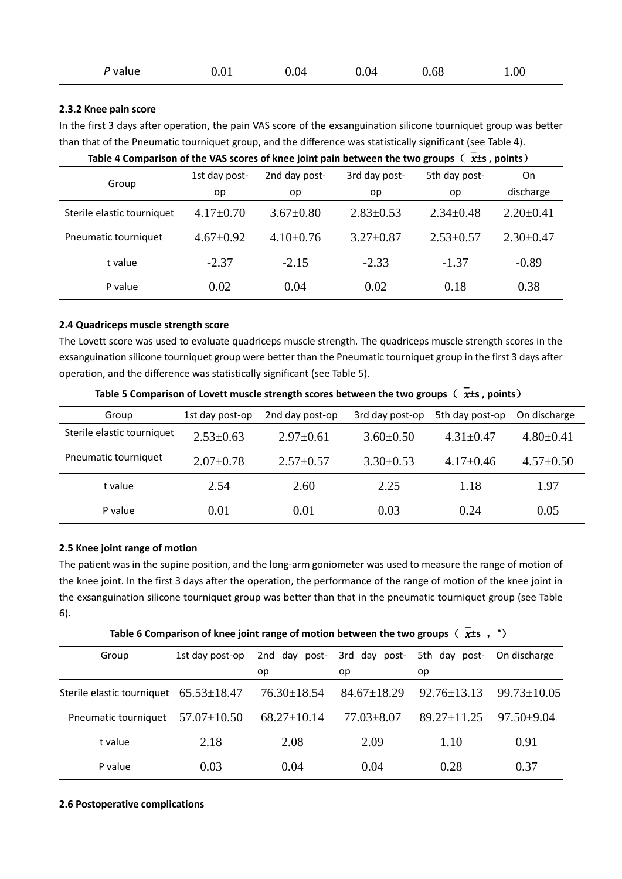| P value | 0.01 | 0.04 | 0.04 | 0.68 | 00.1 |
|---------|------|------|------|------|------|
|---------|------|------|------|------|------|

## **2.3.2 Knee pain score**

In the first 3 days after operation, the pain VAS score of the exsanguination silicone tourniquet group was better than that of the Pneumatic tourniquet group, and the difference was statistically significant (see Table 4).

|                            | 1st day post-   | 2nd day post-   | 3rd day post-   | 5th day post-   | On              |  |
|----------------------------|-----------------|-----------------|-----------------|-----------------|-----------------|--|
| Group                      | op              | op              | op              | op              | discharge       |  |
| Sterile elastic tourniquet | $4.17\pm0.70$   | $3.67 \pm 0.80$ | $2.83 \pm 0.53$ | $2.34 \pm 0.48$ | $2.20 \pm 0.41$ |  |
| Pneumatic tourniquet       | $4.67 \pm 0.92$ | $4.10\pm0.76$   | $3.27 \pm 0.87$ | $2.53 \pm 0.57$ | $2.30 \pm 0.47$ |  |
| t value                    | $-2.37$         | $-2.15$         | $-2.33$         | $-1.37$         | $-0.89$         |  |
| P value                    | 0.02            | 0.04            | 0.02            | 0.18            | 0.38            |  |

Table 4 Comparison of the VAS scores of knee joint pain between the two groups  $\overline{x}$   $\overline{x}$  , points)

## **2.4 Quadriceps muscle strength score**

The Lovett score was used to evaluate quadriceps muscle strength. The quadriceps muscle strength scores in the exsanguination silicone tourniquet group were better than the Pneumatic tourniquet group in the first 3 days after operation, and the difference was statistically significant (see Table 5).

| Group                      | 1st day post-op | 2nd day post-op | 3rd day post-op | 5th day post-op | On discharge    |
|----------------------------|-----------------|-----------------|-----------------|-----------------|-----------------|
| Sterile elastic tourniquet | $2.53 \pm 0.63$ | $2.97 \pm 0.61$ | $3.60 \pm 0.50$ | $4.31 + 0.47$   | $4.80 \pm 0.41$ |
| Pneumatic tourniquet       | $2.07 \pm 0.78$ | $2.57 \pm 0.57$ | $3.30\pm0.53$   | $4.17 + 0.46$   | $4.57 \pm 0.50$ |
| t value                    | 2.54            | 2.60            | 2.25            | 1.18            | 1.97            |
| P value                    | 0.01            | 0.01            | 0.03            | 0.24            | 0.05            |

Table 5 Comparison of Lovett muscle strength scores between the two groups  $\overline{z}$   $\overline{z}$  , points)

## **2.5 Knee joint range of motion**

The patient was in the supine position, and the long-arm goniometer was used to measure the range of motion of the knee joint. In the first 3 days after the operation, the performance of the range of motion of the knee joint in the exsanguination silicone tourniquet group was better than that in the pneumatic tourniquet group (see Table 6).

**Table 6 Comparison of knee joint range of motion between the two groups**  $(\overline{x} + \overline{x})$ 

| Group                                        | 1st day post-op   | 2nd day post-     |                   | 3rd day post- 5th day post- On discharge |                 |
|----------------------------------------------|-------------------|-------------------|-------------------|------------------------------------------|-----------------|
|                                              |                   | op                | op                | op                                       |                 |
| Sterile elastic tourniquet $65.53 \pm 18.47$ |                   | $76.30 \pm 18.54$ | $84.67 \pm 18.29$ | $92.76 + 13.13$                          | $99.73 + 10.05$ |
| Pneumatic tourniquet                         | $57.07 \pm 10.50$ | $68.27 \pm 10.14$ | $77.03 \pm 8.07$  | $89.27 + 11.25$                          | $97.50 + 9.04$  |
| t value                                      | 2.18              | 2.08              | 2.09              | 1.10                                     | 0.91            |
| P value                                      | 0.03              | 0.04              | 0.04              | 0.28                                     | 0.37            |

## **2.6 Postoperative complications**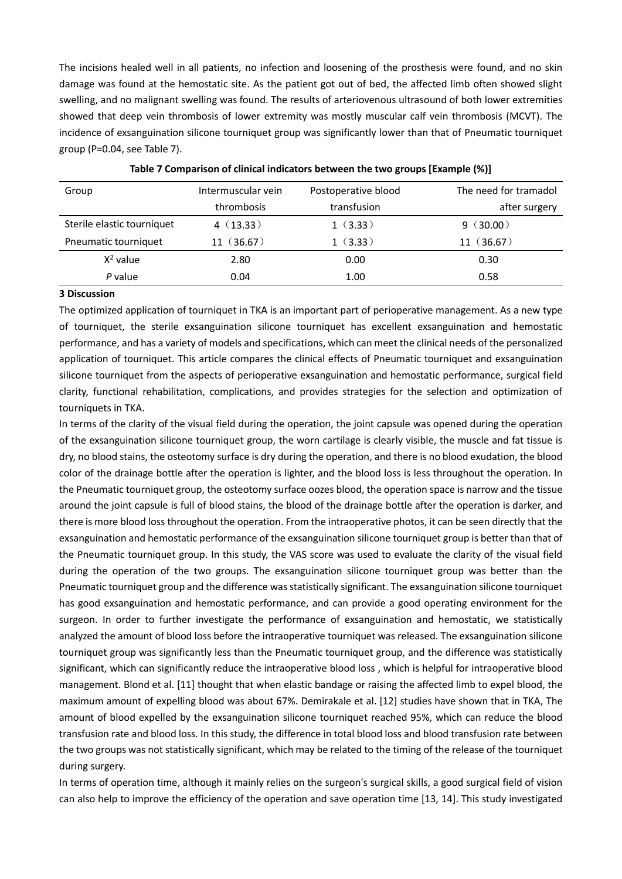The incisions healed well in all patients, no infection and loosening of the prosthesis were found, and no skin damage was found at the hemostatic site. As the patient got out of bed, the affected limb often showed slight swelling, and no malignant swelling was found. The results of arteriovenous ultrasound of both lower extremities showed that deep vein thrombosis of lower extremity was mostly muscular calf vein thrombosis (MCVT). The incidence of exsanguination silicone tourniquet group was significantly lower than that of Pneumatic tourniquet group (P=0.04, see Table 7).

| Group                      | Intermuscular vein | Postoperative blood | The need for tramadol |
|----------------------------|--------------------|---------------------|-----------------------|
|                            | thrombosis         | transfusion         | after surgery         |
| Sterile elastic tourniquet | 4(13.33)           | 1(3.33)             | 9(30.00)              |
| Pneumatic tourniquet       | 11(36.67)          | 1(3.33)             | 11(36.67)             |
| $X^2$ value                | 2.80               | 0.00                | 0.30                  |
| P value                    | 0.04               | 1.00                | 0.58                  |

#### **Table 7 Comparison of clinical indicators between the two groups [Example (%)]**

## **3 Discussion**

The optimized application of tourniquet in TKA is an important part of perioperative management. As a new type of tourniquet, the sterile exsanguination silicone tourniquet has excellent exsanguination and hemostatic performance, and has a variety of models and specifications, which can meet the clinical needs of the personalized application of tourniquet. This article compares the clinical effects of Pneumatic tourniquet and exsanguination silicone tourniquet from the aspects of perioperative exsanguination and hemostatic performance, surgical field clarity, functional rehabilitation, complications, and provides strategies for the selection and optimization of tourniquets in TKA.

In terms of the clarity of the visual field during the operation, the joint capsule was opened during the operation of the exsanguination silicone tourniquet group, the worn cartilage is clearly visible, the muscle and fat tissue is dry, no blood stains, the osteotomy surface is dry during the operation, and there is no blood exudation, the blood color of the drainage bottle after the operation is lighter, and the blood loss is less throughout the operation. In the Pneumatic tourniquet group, the osteotomy surface oozes blood, the operation space is narrow and the tissue around the joint capsule is full of blood stains, the blood of the drainage bottle after the operation is darker, and there is more blood loss throughout the operation. From the intraoperative photos, it can be seen directly that the exsanguination and hemostatic performance of the exsanguination silicone tourniquet group is better than that of the Pneumatic tourniquet group. In this study, the VAS score was used to evaluate the clarity of the visual field during the operation of the two groups. The exsanguination silicone tourniquet group was better than the Pneumatic tourniquet group and the difference was statistically significant. The exsanguination silicone tourniquet has good exsanguination and hemostatic performance, and can provide a good operating environment for the surgeon. In order to further investigate the performance of exsanguination and hemostatic, we statistically analyzed the amount of blood loss before the intraoperative tourniquet was released. The exsanguination silicone tourniquet group was significantly less than the Pneumatic tourniquet group, and the difference was statistically significant, which can significantly reduce the intraoperative blood loss , which is helpful for intraoperative blood management. Blond et al. [11] thought that when elastic bandage or raising the affected limb to expel blood, the maximum amount of expelling blood was about 67%. Demirakale et al. [12] studies have shown that in TKA, The amount of blood expelled by the exsanguination silicone tourniquet reached 95%, which can reduce the blood transfusion rate and blood loss. In this study, the difference in total blood loss and blood transfusion rate between the two groups was not statistically significant, which may be related to the timing of the release of the tourniquet during surgery.

In terms of operation time, although it mainly relies on the surgeon's surgical skills, a good surgical field of vision can also help to improve the efficiency of the operation and save operation time [13, 14]. This study investigated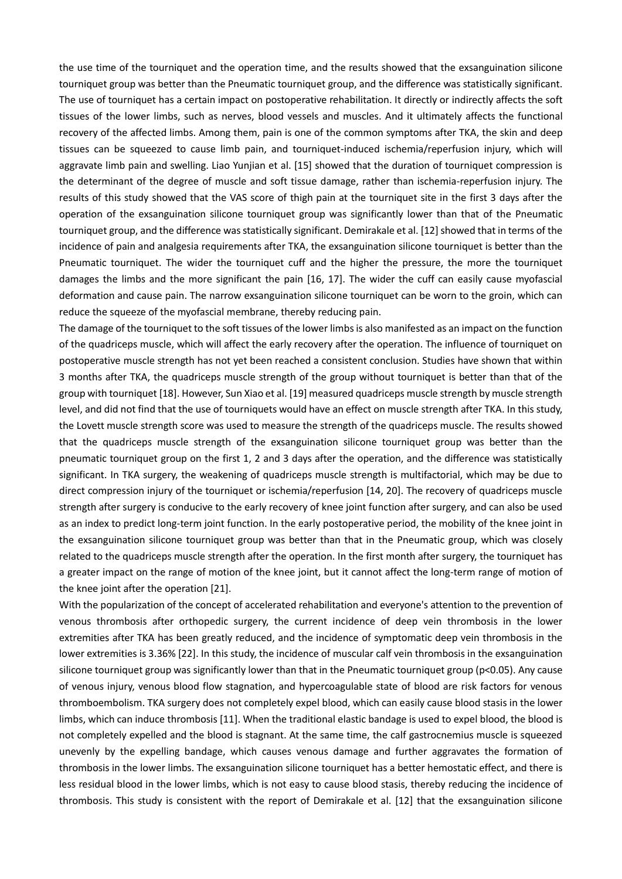the use time of the tourniquet and the operation time, and the results showed that the exsanguination silicone tourniquet group was better than the Pneumatic tourniquet group, and the difference was statistically significant. The use of tourniquet has a certain impact on postoperative rehabilitation. It directly or indirectly affects the soft tissues of the lower limbs, such as nerves, blood vessels and muscles. And it ultimately affects the functional recovery of the affected limbs. Among them, pain is one of the common symptoms after TKA, the skin and deep tissues can be squeezed to cause limb pain, and tourniquet-induced ischemia/reperfusion injury, which will aggravate limb pain and swelling. Liao Yunjian et al. [15] showed that the duration of tourniquet compression is the determinant of the degree of muscle and soft tissue damage, rather than ischemia-reperfusion injury. The results of this study showed that the VAS score of thigh pain at the tourniquet site in the first 3 days after the operation of the exsanguination silicone tourniquet group was significantly lower than that of the Pneumatic tourniquet group, and the difference was statistically significant. Demirakale et al. [12] showed that in terms of the incidence of pain and analgesia requirements after TKA, the exsanguination silicone tourniquet is better than the Pneumatic tourniquet. The wider the tourniquet cuff and the higher the pressure, the more the tourniquet damages the limbs and the more significant the pain [16, 17]. The wider the cuff can easily cause myofascial deformation and cause pain. The narrow exsanguination silicone tourniquet can be worn to the groin, which can reduce the squeeze of the myofascial membrane, thereby reducing pain.

The damage of the tourniquet to the soft tissues of the lower limbs is also manifested as an impact on the function of the quadriceps muscle, which will affect the early recovery after the operation. The influence of tourniquet on postoperative muscle strength has not yet been reached a consistent conclusion. Studies have shown that within 3 months after TKA, the quadriceps muscle strength of the group without tourniquet is better than that of the group with tourniquet [18]. However, Sun Xiao et al. [19] measured quadriceps muscle strength by muscle strength level, and did not find that the use of tourniquets would have an effect on muscle strength after TKA. In this study, the Lovett muscle strength score was used to measure the strength of the quadriceps muscle. The results showed that the quadriceps muscle strength of the exsanguination silicone tourniquet group was better than the pneumatic tourniquet group on the first 1, 2 and 3 days after the operation, and the difference was statistically significant. In TKA surgery, the weakening of quadriceps muscle strength is multifactorial, which may be due to direct compression injury of the tourniquet or ischemia/reperfusion [14, 20]. The recovery of quadriceps muscle strength after surgery is conducive to the early recovery of knee joint function after surgery, and can also be used as an index to predict long-term joint function. In the early postoperative period, the mobility of the knee joint in the exsanguination silicone tourniquet group was better than that in the Pneumatic group, which was closely related to the quadriceps muscle strength after the operation. In the first month after surgery, the tourniquet has a greater impact on the range of motion of the knee joint, but it cannot affect the long-term range of motion of the knee joint after the operation [21].

With the popularization of the concept of accelerated rehabilitation and everyone's attention to the prevention of venous thrombosis after orthopedic surgery, the current incidence of deep vein thrombosis in the lower extremities after TKA has been greatly reduced, and the incidence of symptomatic deep vein thrombosis in the lower extremities is 3.36% [22]. In this study, the incidence of muscular calf vein thrombosis in the exsanguination silicone tourniquet group was significantly lower than that in the Pneumatic tourniquet group (p<0.05). Any cause of venous injury, venous blood flow stagnation, and hypercoagulable state of blood are risk factors for venous thromboembolism. TKA surgery does not completely expel blood, which can easily cause blood stasis in the lower limbs, which can induce thrombosis [11]. When the traditional elastic bandage is used to expel blood, the blood is not completely expelled and the blood is stagnant. At the same time, the calf gastrocnemius muscle is squeezed unevenly by the expelling bandage, which causes venous damage and further aggravates the formation of thrombosis in the lower limbs. The exsanguination silicone tourniquet has a better hemostatic effect, and there is less residual blood in the lower limbs, which is not easy to cause blood stasis, thereby reducing the incidence of thrombosis. This study is consistent with the report of Demirakale et al. [12] that the exsanguination silicone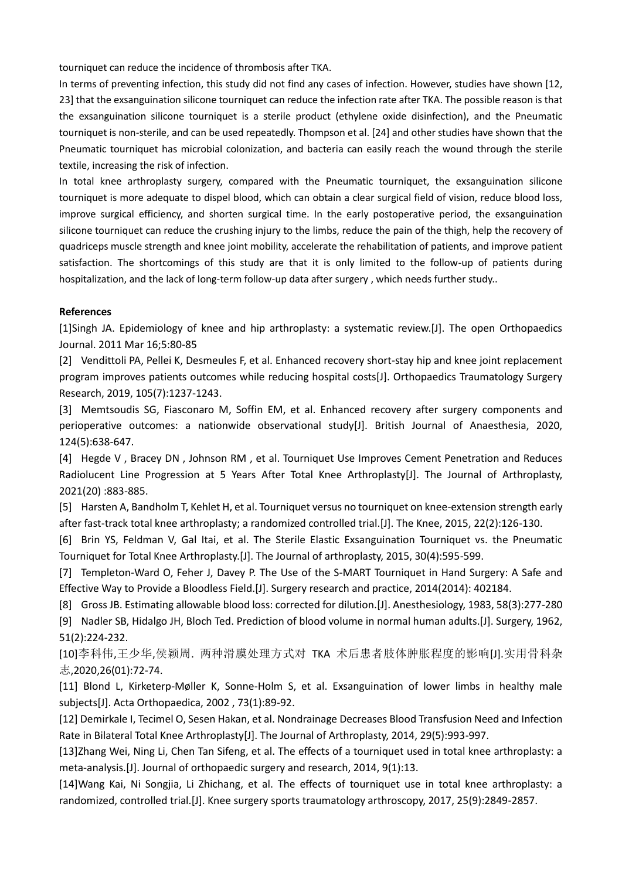tourniquet can reduce the incidence of thrombosis after TKA.

In terms of preventing infection, this study did not find any cases of infection. However, studies have shown [12, 23] that the exsanguination silicone tourniquet can reduce the infection rate after TKA. The possible reason is that the exsanguination silicone tourniquet is a sterile product (ethylene oxide disinfection), and the Pneumatic tourniquet is non-sterile, and can be used repeatedly. Thompson et al. [24] and other studies have shown that the Pneumatic tourniquet has microbial colonization, and bacteria can easily reach the wound through the sterile textile, increasing the risk of infection.

In total knee arthroplasty surgery, compared with the Pneumatic tourniquet, the exsanguination silicone tourniquet is more adequate to dispel blood, which can obtain a clear surgical field of vision, reduce blood loss, improve surgical efficiency, and shorten surgical time. In the early postoperative period, the exsanguination silicone tourniquet can reduce the crushing injury to the limbs, reduce the pain of the thigh, help the recovery of quadriceps muscle strength and knee joint mobility, accelerate the rehabilitation of patients, and improve patient satisfaction. The shortcomings of this study are that it is only limited to the follow-up of patients during hospitalization, and the lack of long-term follow-up data after surgery , which needs further study..

## **References**

[1]Singh JA. Epidemiology of knee and hip arthroplasty: a systematic review.[J]. The open Orthopaedics Journal. 2011 Mar 16;5:80-85

[2] Vendittoli PA, Pellei K, Desmeules F, et al. Enhanced recovery short-stay hip and knee joint replacement program improves patients outcomes while reducing hospital costs[J]. Orthopaedics Traumatology Surgery Research, 2019, 105(7):1237-1243.

[3] Memtsoudis SG, Fiasconaro M, Soffin EM, et al. Enhanced recovery after surgery components and perioperative outcomes: a nationwide observational study[J]. British Journal of Anaesthesia, 2020, 124(5):638-647.

[4] Hegde V , Bracey DN , Johnson RM , et al. Tourniquet Use Improves Cement Penetration and Reduces Radiolucent Line Progression at 5 Years After Total Knee Arthroplasty[J]. The Journal of Arthroplasty, 2021(20) :883-885.

[5] Harsten A, Bandholm T, Kehlet H, et al. Tourniquet versus no tourniquet on knee-extension strength early after fast-track total knee arthroplasty; a randomized controlled trial.[J]. The Knee, 2015, 22(2):126-130.

[6] Brin YS, Feldman V, Gal Itai, et al. The Sterile Elastic Exsanguination Tourniquet vs. the Pneumatic Tourniquet for Total Knee Arthroplasty.[J]. The Journal of arthroplasty, 2015, 30(4):595-599.

[7] Templeton-Ward O, Feher J, Davey P. The Use of the S-MART Tourniquet in Hand Surgery: A Safe and Effective Way to Provide a Bloodless Field.[J]. Surgery research and practice, 2014(2014): 402184.

[8] Gross JB. Estimating allowable blood loss: corrected for dilution.[J]. Anesthesiology, 1983, 58(3):277-280

[9] Nadler SB, Hidalgo JH, Bloch Ted. Prediction of blood volume in normal human adults.[J]. Surgery, 1962, 51(2):224-232.

[10]李科伟,王少华,侯颖周. 两种滑膜处理方式对 TKA 术后患者肢体肿胀程度的影响[J].实用骨科杂 志,2020,26(01):72-74.

[11] Blond L, Kirketerp-Møller K, Sonne-Holm S, et al. Exsanguination of lower limbs in healthy male subjects[J]. Acta Orthopaedica, 2002 , 73(1):89-92.

[12] Demirkale I, Tecimel O, Sesen Hakan, et al. Nondrainage Decreases Blood Transfusion Need and Infection Rate in Bilateral Total Knee Arthroplasty[J]. The Journal of Arthroplasty, 2014, 29(5):993-997.

[13]Zhang Wei, Ning Li, Chen Tan Sifeng, et al. The effects of a tourniquet used in total knee arthroplasty: a meta-analysis.[J]. Journal of orthopaedic surgery and research, 2014, 9(1):13.

[14]Wang Kai, Ni Songjia, Li Zhichang, et al. The effects of tourniquet use in total knee arthroplasty: a randomized, controlled trial.[J]. Knee surgery sports traumatology arthroscopy, 2017, 25(9):2849-2857.